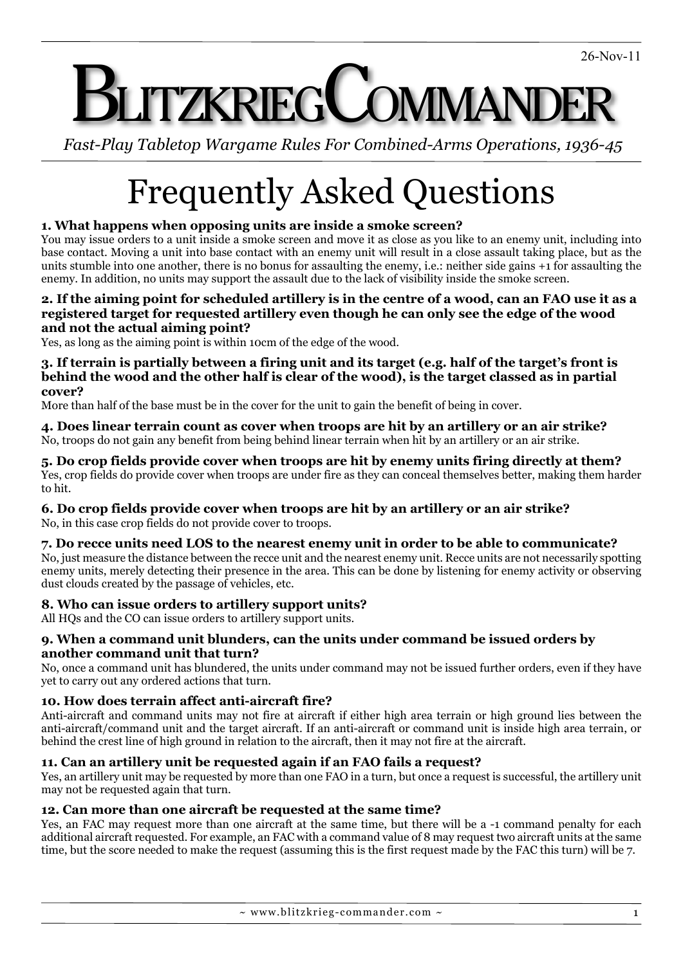# **JTZKRIEGCOMMANDE**

*Fast-Play Tabletop Wargame Rules For Combined-Arms Operations, 1936-45*

## Frequently Asked Questions

#### **1. What happens when opposing units are inside a smoke screen?**

You may issue orders to a unit inside a smoke screen and move it as close as you like to an enemy unit, including into base contact. Moving a unit into base contact with an enemy unit will result in a close assault taking place, but as the units stumble into one another, there is no bonus for assaulting the enemy, i.e.: neither side gains +1 for assaulting the enemy. In addition, no units may support the assault due to the lack of visibility inside the smoke screen.

#### **2. If the aiming point for scheduled artillery is in the centre of a wood, can an FAO use it as a registered target for requested artillery even though he can only see the edge of the wood and not the actual aiming point?**

Yes, as long as the aiming point is within 10cm of the edge of the wood.

#### **3. If terrain is partially between a firing unit and its target (e.g. half of the target's front is behind the wood and the other half is clear of the wood), is the target classed as in partial cover?**

More than half of the base must be in the cover for the unit to gain the benefit of being in cover.

**4. Does linear terrain count as cover when troops are hit by an artillery or an air strike?** No, troops do not gain any benefit from being behind linear terrain when hit by an artillery or an air strike.

#### **5. Do crop fields provide cover when troops are hit by enemy units firing directly at them?** Yes, crop fields do provide cover when troops are under fire as they can conceal themselves better, making them harder to hit.

### **6. Do crop fields provide cover when troops are hit by an artillery or an air strike?**

No, in this case crop fields do not provide cover to troops.

#### **7. Do recce units need LOS to the nearest enemy unit in order to be able to communicate?**

No, just measure the distance between the recce unit and the nearest enemy unit. Recce units are not necessarily spotting enemy units, merely detecting their presence in the area. This can be done by listening for enemy activity or observing dust clouds created by the passage of vehicles, etc.

#### **8. Who can issue orders to artillery support units?**

All HQs and the CO can issue orders to artillery support units.

#### **9. When a command unit blunders, can the units under command be issued orders by another command unit that turn?**

No, once a command unit has blundered, the units under command may not be issued further orders, even if they have yet to carry out any ordered actions that turn.

#### **10. How does terrain affect anti-aircraft fire?**

Anti-aircraft and command units may not fire at aircraft if either high area terrain or high ground lies between the anti-aircraft/command unit and the target aircraft. If an anti-aircraft or command unit is inside high area terrain, or behind the crest line of high ground in relation to the aircraft, then it may not fire at the aircraft.

#### **11. Can an artillery unit be requested again if an FAO fails a request?**

Yes, an artillery unit may be requested by more than one FAO in a turn, but once a request is successful, the artillery unit may not be requested again that turn.

#### **12. Can more than one aircraft be requested at the same time?**

Yes, an FAC may request more than one aircraft at the same time, but there will be a -1 command penalty for each additional aircraft requested. For example, an FAC with a command value of 8 may request two aircraft units at the same time, but the score needed to make the request (assuming this is the first request made by the FAC this turn) will be 7.